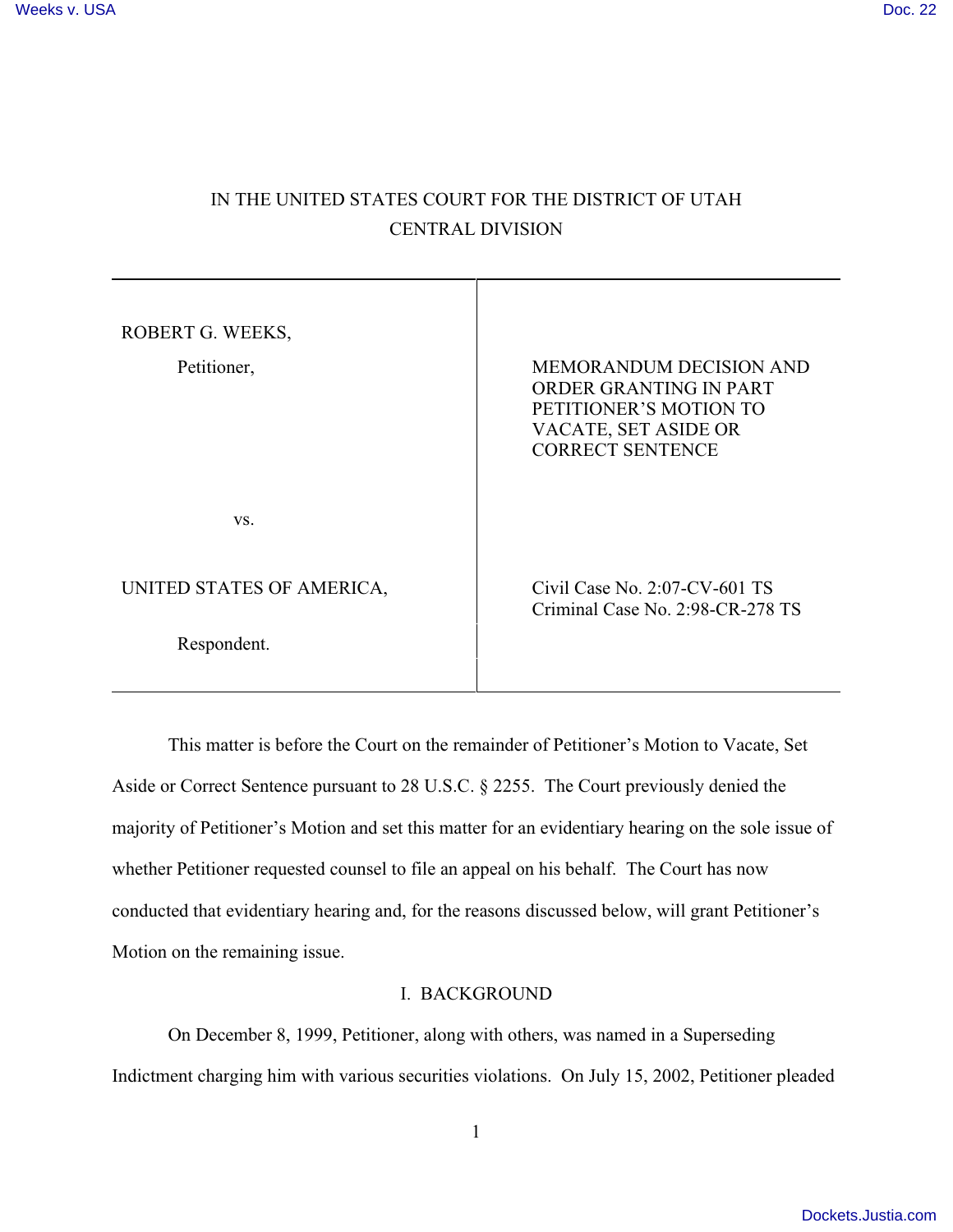## IN THE UNITED STATES COURT FOR THE DISTRICT OF UTAH CENTRAL DIVISION

| ROBERT G. WEEKS,<br>Petitioner, | <b>MEMORANDUM DECISION AND</b><br>ORDER GRANTING IN PART<br>PETITIONER'S MOTION TO<br>VACATE, SET ASIDE OR<br><b>CORRECT SENTENCE</b> |
|---------------------------------|---------------------------------------------------------------------------------------------------------------------------------------|
| VS.                             |                                                                                                                                       |
| UNITED STATES OF AMERICA,       | Civil Case No. $2:07$ -CV-601 TS<br>Criminal Case No. 2:98-CR-278 TS                                                                  |
| Respondent.                     |                                                                                                                                       |

This matter is before the Court on the remainder of Petitioner's Motion to Vacate, Set Aside or Correct Sentence pursuant to 28 U.S.C. § 2255. The Court previously denied the majority of Petitioner's Motion and set this matter for an evidentiary hearing on the sole issue of whether Petitioner requested counsel to file an appeal on his behalf. The Court has now conducted that evidentiary hearing and, for the reasons discussed below, will grant Petitioner's Motion on the remaining issue.

## I. BACKGROUND

On December 8, 1999, Petitioner, along with others, was named in a Superseding Indictment charging him with various securities violations. On July 15, 2002, Petitioner pleaded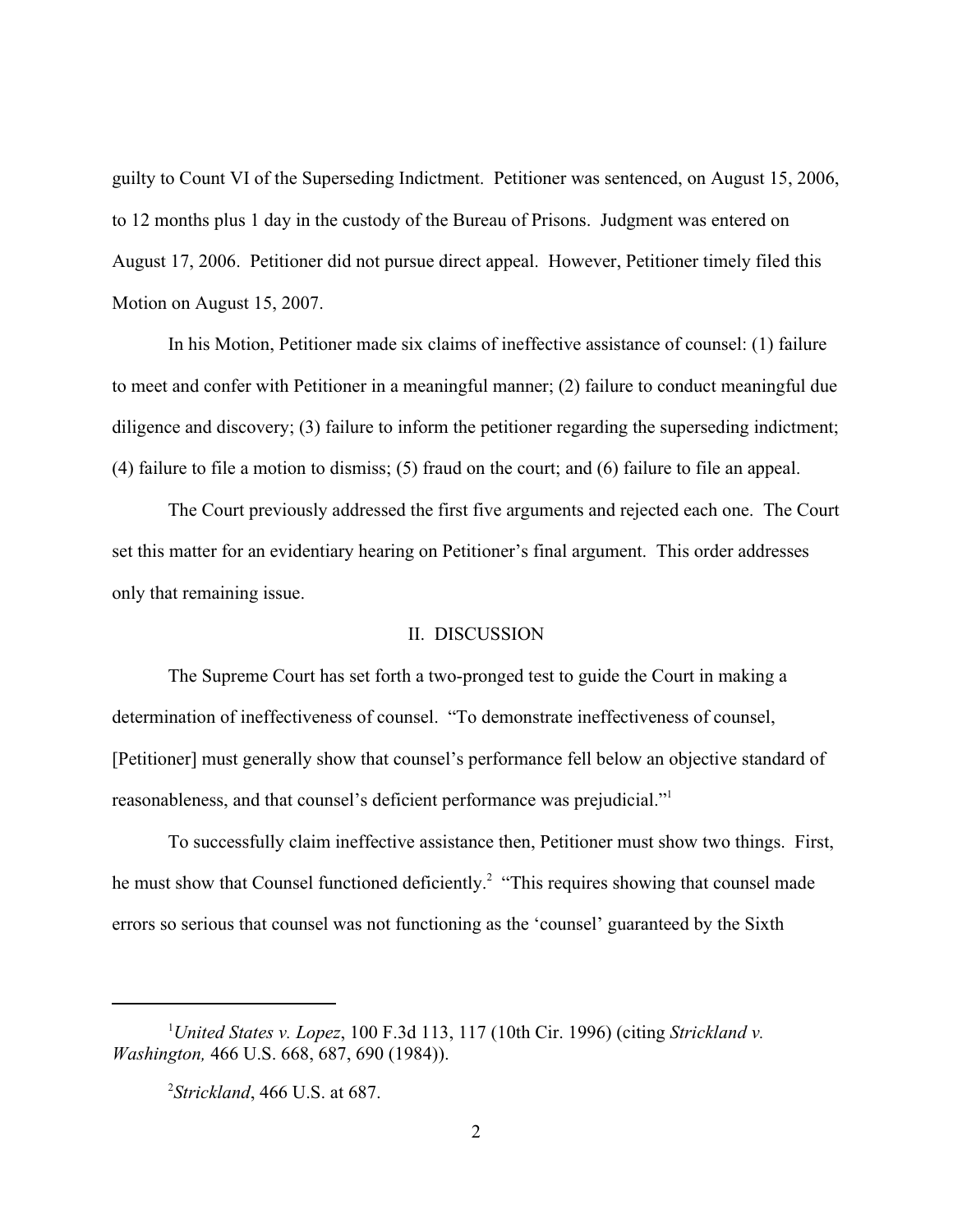guilty to Count VI of the Superseding Indictment. Petitioner was sentenced, on August 15, 2006, to 12 months plus 1 day in the custody of the Bureau of Prisons. Judgment was entered on August 17, 2006. Petitioner did not pursue direct appeal. However, Petitioner timely filed this Motion on August 15, 2007.

In his Motion, Petitioner made six claims of ineffective assistance of counsel: (1) failure to meet and confer with Petitioner in a meaningful manner; (2) failure to conduct meaningful due diligence and discovery; (3) failure to inform the petitioner regarding the superseding indictment; (4) failure to file a motion to dismiss; (5) fraud on the court; and (6) failure to file an appeal.

The Court previously addressed the first five arguments and rejected each one. The Court set this matter for an evidentiary hearing on Petitioner's final argument. This order addresses only that remaining issue.

## II. DISCUSSION

The Supreme Court has set forth a two-pronged test to guide the Court in making a determination of ineffectiveness of counsel. "To demonstrate ineffectiveness of counsel, [Petitioner] must generally show that counsel's performance fell below an objective standard of reasonableness, and that counsel's deficient performance was prejudicial."<sup>1</sup>

To successfully claim ineffective assistance then, Petitioner must show two things. First, he must show that Counsel functioned deficiently.<sup>2</sup> "This requires showing that counsel made errors so serious that counsel was not functioning as the 'counsel' guaranteed by the Sixth

*United States v. Lopez*, 100 F.3d 113, 117 (10th Cir. 1996) (citing *Strickland v.* <sup>1</sup> *Washington,* 466 U.S. 668, 687, 690 (1984)).

*Strickland*, 466 U.S. at 687. <sup>2</sup>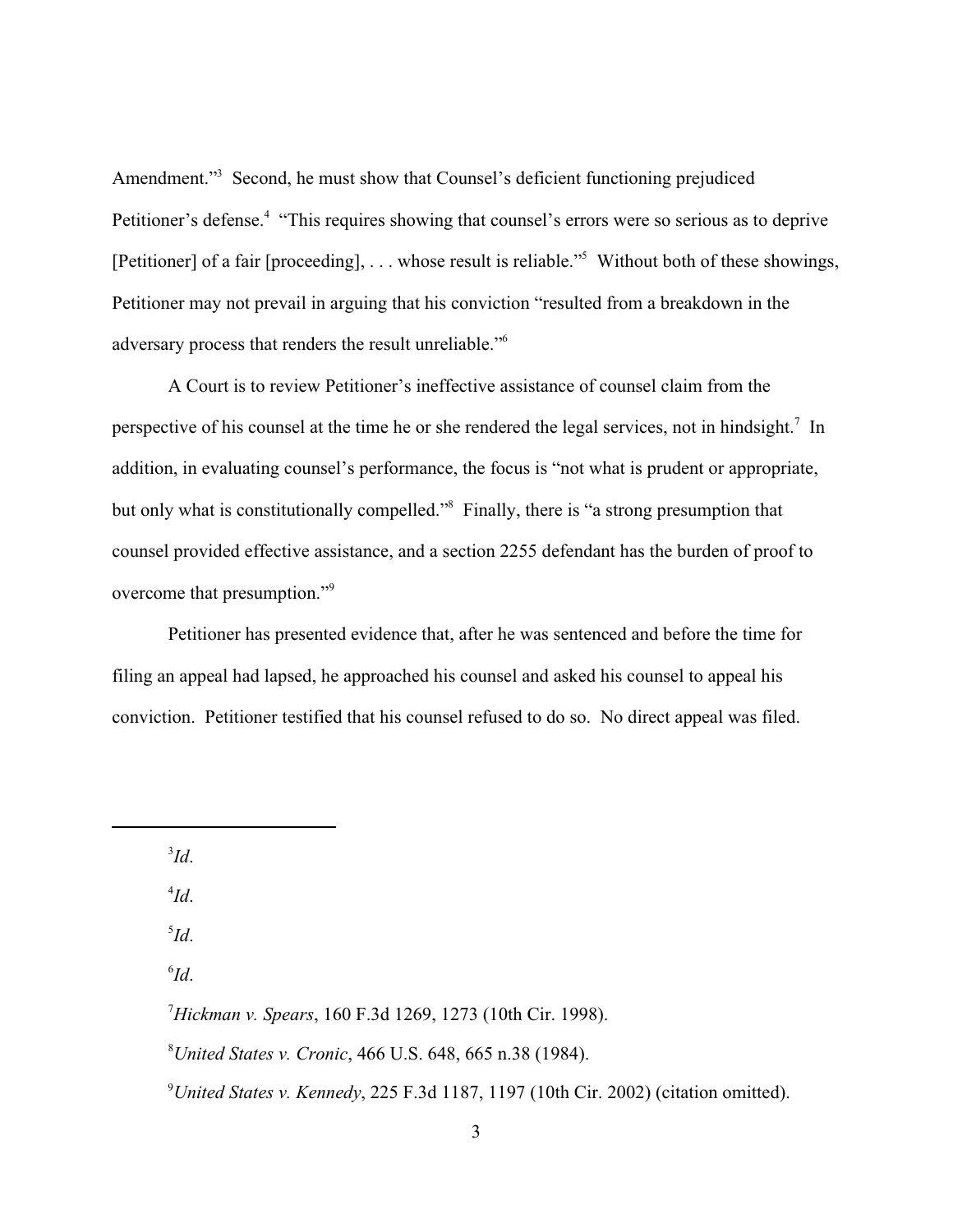Amendment."<sup>3</sup> Second, he must show that Counsel's deficient functioning prejudiced Petitioner's defense.<sup>4</sup> "This requires showing that counsel's errors were so serious as to deprive [Petitioner] of a fair [proceeding],  $\dots$  whose result is reliable." Without both of these showings, Petitioner may not prevail in arguing that his conviction "resulted from a breakdown in the adversary process that renders the result unreliable."<sup>6</sup>

A Court is to review Petitioner's ineffective assistance of counsel claim from the perspective of his counsel at the time he or she rendered the legal services, not in hindsight.<sup>7</sup> In addition, in evaluating counsel's performance, the focus is "not what is prudent or appropriate, but only what is constitutionally compelled."<sup>8</sup> Finally, there is "a strong presumption that counsel provided effective assistance, and a section 2255 defendant has the burden of proof to overcome that presumption."<sup>9</sup>

Petitioner has presented evidence that, after he was sentenced and before the time for filing an appeal had lapsed, he approached his counsel and asked his counsel to appeal his conviction. Petitioner testified that his counsel refused to do so. No direct appeal was filed.

 ${}^3\!Id.$ 

 $^{4}Id.$ 

*Id*. 5

*Id*. 6

*Hickman v. Spears*, 160 F.3d 1269, 1273 (10th Cir. 1998). <sup>7</sup>

*United States v. Cronic*, 466 U.S. 648, 665 n.38 (1984). <sup>8</sup>

<sup>9</sup> United States v. Kennedy, 225 F.3d 1187, 1197 (10th Cir. 2002) (citation omitted).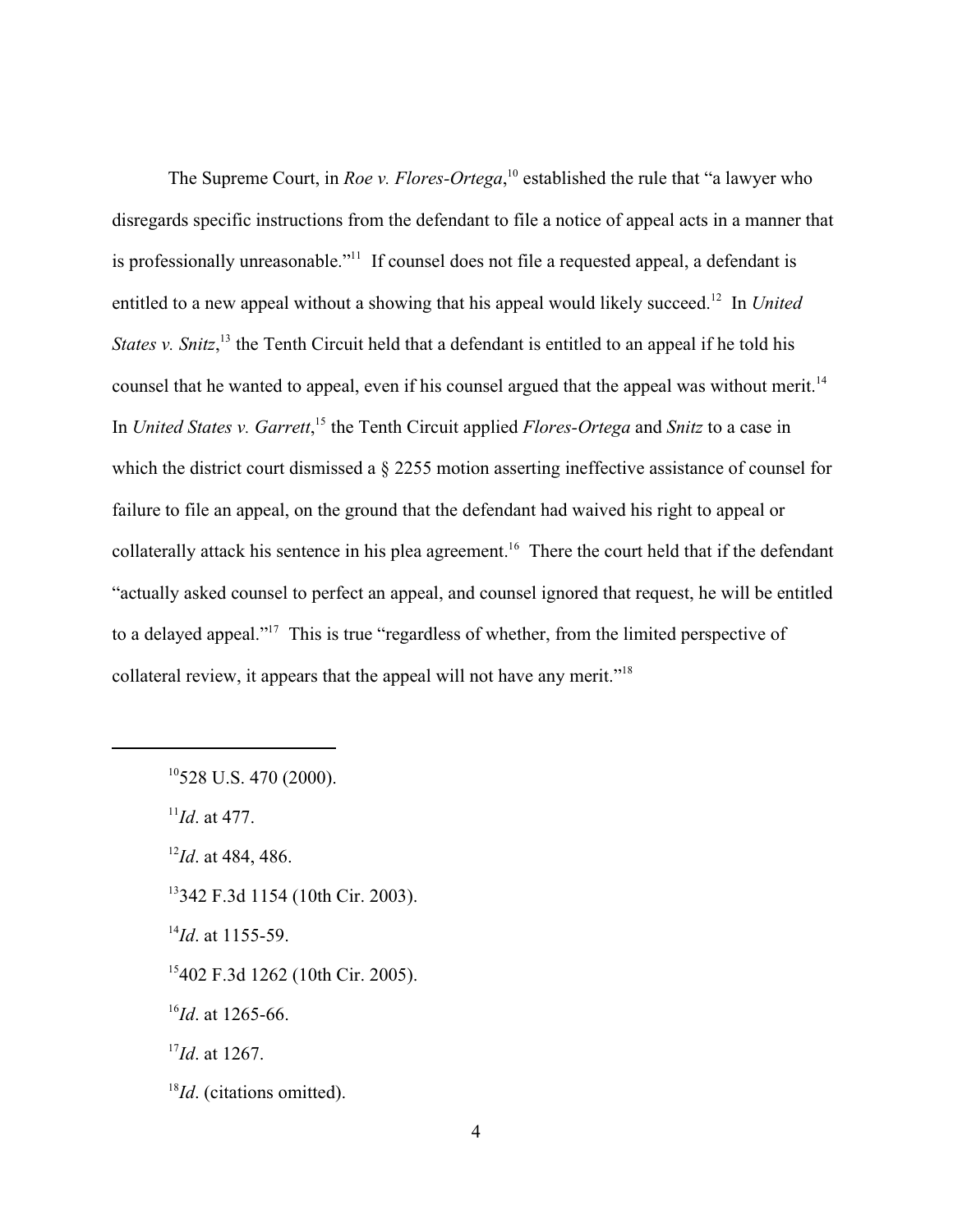The Supreme Court, in *Roe v. Flores-Ortega*,<sup>10</sup> established the rule that "a lawyer who disregards specific instructions from the defendant to file a notice of appeal acts in a manner that is professionally unreasonable."<sup> $11$ </sup> If counsel does not file a requested appeal, a defendant is entitled to a new appeal without a showing that his appeal would likely succeed.<sup>12</sup> In *United States v. Snitz*,<sup>13</sup> the Tenth Circuit held that a defendant is entitled to an appeal if he told his counsel that he wanted to appeal, even if his counsel argued that the appeal was without merit.<sup>14</sup> In *United States v. Garrett*, <sup>15</sup> the Tenth Circuit applied *Flores-Ortega* and *Snitz* to a case in which the district court dismissed a § 2255 motion asserting ineffective assistance of counsel for failure to file an appeal, on the ground that the defendant had waived his right to appeal or collaterally attack his sentence in his plea agreement.<sup>16</sup> There the court held that if the defendant "actually asked counsel to perfect an appeal, and counsel ignored that request, he will be entitled to a delayed appeal."<sup>17</sup> This is true "regardless of whether, from the limited perspective of collateral review, it appears that the appeal will not have any merit."<sup>18</sup>

 $10$ <sup>528</sup> U.S. 470 (2000).

 $I^{11}Id$ . at 477.

 $I^2Id$ . at 484, 486.

<sup>13</sup>342 F.3d 1154 (10th Cir. 2003).

 $^{14}$ *Id*. at 1155-59.

<sup>15</sup>402 F.3d 1262 (10th Cir. 2005).

 $^{16}$ *Id*. at 1265-66.

<sup>17</sup>*Id.* at 1267.

<sup>&</sup>lt;sup>18</sup>*Id*. (citations omitted).